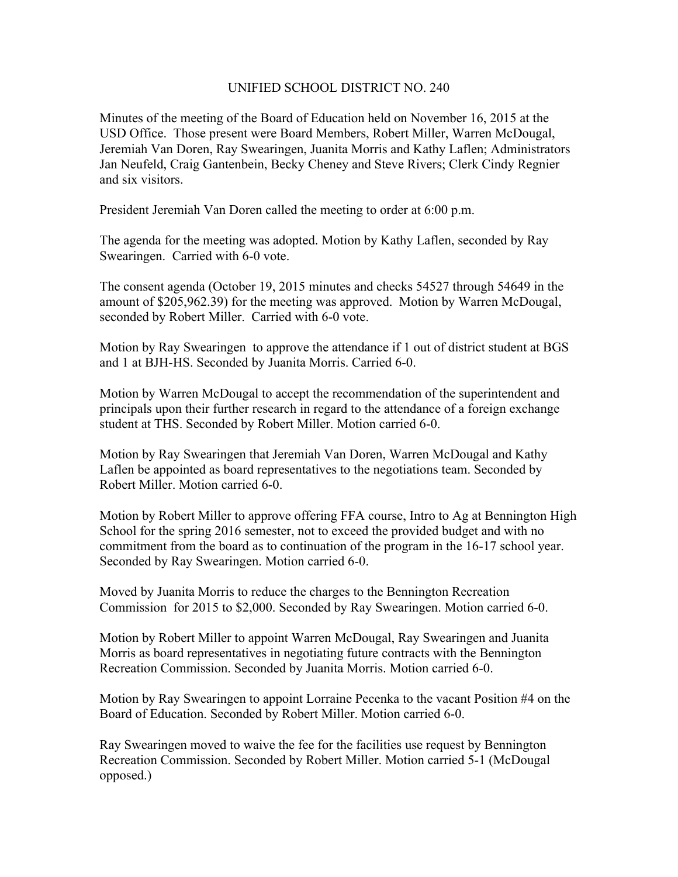## UNIFIED SCHOOL DISTRICT NO. 240

Minutes of the meeting of the Board of Education held on November 16, 2015 at the USD Office. Those present were Board Members, Robert Miller, Warren McDougal, Jeremiah Van Doren, Ray Swearingen, Juanita Morris and Kathy Laflen; Administrators Jan Neufeld, Craig Gantenbein, Becky Cheney and Steve Rivers; Clerk Cindy Regnier and six visitors.

President Jeremiah Van Doren called the meeting to order at 6:00 p.m.

The agenda for the meeting was adopted. Motion by Kathy Laflen, seconded by Ray Swearingen. Carried with 6-0 vote.

The consent agenda (October 19, 2015 minutes and checks 54527 through 54649 in the amount of \$205,962.39) for the meeting was approved. Motion by Warren McDougal, seconded by Robert Miller. Carried with 6-0 vote.

Motion by Ray Swearingen to approve the attendance if 1 out of district student at BGS and 1 at BJH-HS. Seconded by Juanita Morris. Carried 6-0.

Motion by Warren McDougal to accept the recommendation of the superintendent and principals upon their further research in regard to the attendance of a foreign exchange student at THS. Seconded by Robert Miller. Motion carried 6-0.

Motion by Ray Swearingen that Jeremiah Van Doren, Warren McDougal and Kathy Laflen be appointed as board representatives to the negotiations team. Seconded by Robert Miller. Motion carried 6-0.

Motion by Robert Miller to approve offering FFA course, Intro to Ag at Bennington High School for the spring 2016 semester, not to exceed the provided budget and with no commitment from the board as to continuation of the program in the 16-17 school year. Seconded by Ray Swearingen. Motion carried 6-0.

Moved by Juanita Morris to reduce the charges to the Bennington Recreation Commission for 2015 to \$2,000. Seconded by Ray Swearingen. Motion carried 6-0.

Motion by Robert Miller to appoint Warren McDougal, Ray Swearingen and Juanita Morris as board representatives in negotiating future contracts with the Bennington Recreation Commission. Seconded by Juanita Morris. Motion carried 6-0.

Motion by Ray Swearingen to appoint Lorraine Pecenka to the vacant Position #4 on the Board of Education. Seconded by Robert Miller. Motion carried 6-0.

Ray Swearingen moved to waive the fee for the facilities use request by Bennington Recreation Commission. Seconded by Robert Miller. Motion carried 5-1 (McDougal opposed.)